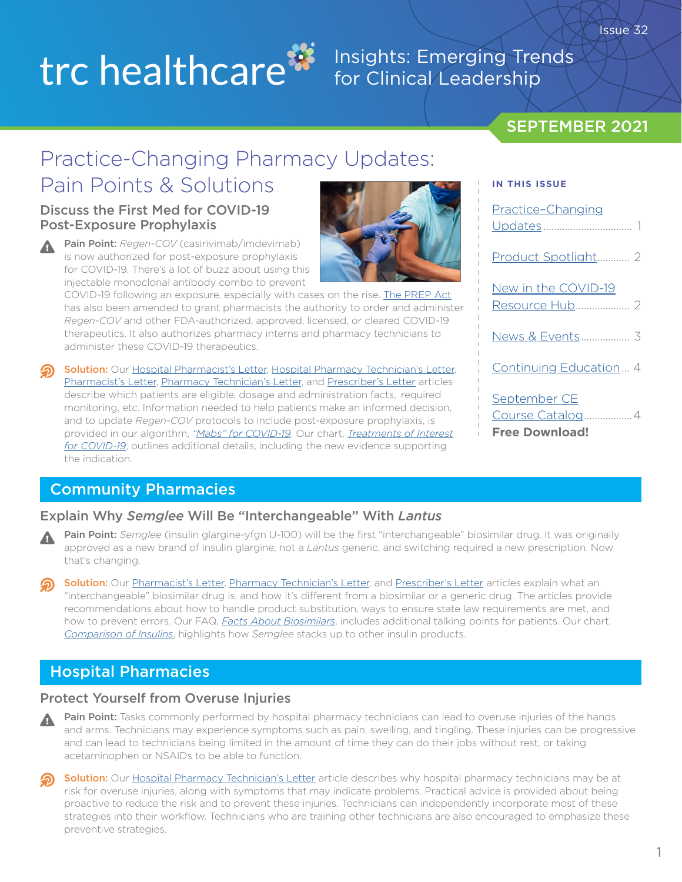# trc healthcare<sup>33</sup>

## Insights: Emerging Trends for Clinical Leadership

### SEPTEMBER 2021

**IN THIS ISSUE**

# Practice-Changing Pharmacy Updates:

# Pain Points & Solutions

### Discuss the First Med for COVID-19 Post-Exposure Prophylaxis

Pain Point: *Regen-COV* (casirivimab/imdevimab) is now authorized for post-exposure prophylaxis for COVID-19. There's a lot of buzz about using this injectable monoclonal antibody combo to prevent

COVID-19 following an exposure, especially with cases on the rise. [The PREP Act](https://public-inspection.federalregister.gov/2021-19790.pdf?utm_source=federalregister.gov&utm_medium=email&utm_campaign=pi+subscription+mailing+list) has also been amended to grant pharmacists the authority to order and administer *Regen-COV* and other FDA-authorized, approved, licensed, or cleared COVID-19 therapeutics. It also authorizes pharmacy interns and pharmacy technicians to administer these COVID-19 therapeutics.

Solution: Our [Hospital Pharmacist's Letter](https://hospital-pharmacist.therapeuticresearch.com/Content/Articles/PLH/2021/Sep/Add-Post-Exposure-Prophylaxis-to-Regen-COV-Protocols?utm_source=hubspot&utm_medium=email&utm_campaign=september2021insightsnewsletter), [Hospital Pharmacy Technician's Letter,](https://hospital-pharmacytech.therapeuticresearch.com/Content/Articles/PTLH/2021/Sep/Anticipate-Dispensing-Post-Exposure-Prophylaxis-for-COVID-19?utm_source=hubspot&utm_medium=email&utm_campaign=september2021insightsnewsletter) [Pharmacist's Letter](https://pharmacist.therapeuticresearch.com/Content/Articles/PL/2021/Sep/Discuss-the-First-Med-for-COVID-19-Post-Exposure-Prophylaxis?utm_source=hubspot&utm_medium=email&utm_campaign=september2021insightsnewsletter), [Pharmacy Technician's Letter,](https://pharmacytech.therapeuticresearch.com/Content/Articles/PTL/2021/Sep/Identify-Patients-Who-May-Qualify-for-Meds-to-Prevent-COVID-19-After-Exposure?utm_source=hubspot&utm_medium=email&utm_campaign=september2021insightsnewsletter) and [Prescriber's Letter](https://prescriber.therapeuticresearch.com/Content/Articles/PRL/2021/Sep/Know-When-to-Offer-COVID-19-Post-Exposure-Prophylaxis?utm_source=hubspot&utm_medium=email&utm_campaign=september2021insightsnewsletter) articles describe which patients are eligible, dosage and administration facts, required monitoring, etc. Information needed to help patients make an informed decision, and to update *Regen-COV* protocols to include post-exposure prophylaxis, is provided in our algorithm, *["Mabs" for COVID-19](https://hospital-pharmacytech.therapeuticresearch.com/content/segments/prl/2021/apr/mabs-for-covid-19-patient-assessment-and-referral-s2104001?utm_source=hubspot&utm_medium=email&utm_campaign=august2021insightsnewsletter)*. Our chart, *[Treatments of Interest](https://hospital-pharmacytech.therapeuticresearch.com/content/segments/prl/2020/apr/treatments-of-interest-for-covid-19-s2004008?utm_source=hubspot&utm_medium=email&utm_campaign=august2021insightsnewsletter) [for COVID-19](https://hospital-pharmacytech.therapeuticresearch.com/content/segments/prl/2020/apr/treatments-of-interest-for-covid-19-s2004008?utm_source=hubspot&utm_medium=email&utm_campaign=august2021insightsnewsletter)*, outlines additional details, including the new evidence supporting the indication.

### Community Pharmacies

### Explain Why *Semglee* Will Be "Interchangeable" With *Lantus*

- Pain Point: *Semglee* (insulin glargine-yfgn U-100) will be the first "interchangeable" biosimilar drug. It was originally approved as a new brand of insulin glargine, not a *Lantus* generic, and switching required a new prescription. Now that's changing.
- Solution: Our [Pharmacist's Letter](https://pharmacist.therapeuticresearch.com/Content/Articles/PL/2021/Sep/Explain-Why-Semglee-Will-Be-Interchangeable-With-Lantus?utm_source=hubspot&utm_medium=email&utm_campaign=september2021insightsnewsletter), [Pharmacy Technician's Letter,](https://pharmacytech.therapeuticresearch.com/Content/Articles/PTL/2021/Sep/Watch-For-Semglee-to-Be-Interchangeable-With-Lantus?utm_source=hubspot&utm_medium=email&utm_campaign=september2021insightsnewsletter) and [Prescriber's Letter](https://prescriber.therapeuticresearch.com/Content/Articles/PRL/2021/Sep/Understand-Why-Semglee-Will-Be-Interchangeable-With-Lantus?utm_source=hubspot&utm_medium=email&utm_campaign=september2021insightsnewsletter) articles explain what an "interchangeable" biosimilar drug is, and how it's different from a biosimilar or a generic drug. The articles provide recommendations about how to handle product substitution, ways to ensure state law requirements are met, and how to prevent errors. Our FAQ, *[Facts About Biosimilars](https://pharmacist.therapeuticresearch.com/Content/Segments/PRL/2015/Oct/Facts-About-Biosimilars-8977?utm_source=hubspot&utm_medium=email&utm_campaign=september2021insightsnewsletter)*, includes additional talking points for patients. Our chart, *[Comparison of Insulins](https://pharmacist.therapeuticresearch.com/Content/Segments/PRL/2015/Mar/Comparison-of-Insulins-8205?utm_source=hubspot&utm_medium=email&utm_campaign=september2021insightsnewsletter)*, highlights how *Semglee* stacks up to other insulin products.

### Hospital Pharmacies

### Protect Yourself from Overuse Injuries

- Pain Point: Tasks commonly performed by hospital pharmacy technicians can lead to overuse injuries of the hands and arms. Technicians may experience symptoms such as pain, swelling, and tingling. These injuries can be progressive and can lead to technicians being limited in the amount of time they can do their jobs without rest, or taking acetaminophen or NSAIDs to be able to function.
- Solution: Our [Hospital Pharmacy Technician's Letter](https://hospital-pharmacytech.therapeuticresearch.com/Content/Articles/PTLH/2021/Sep/Protect-Yourself-From-Overuse-Injuries?utm_source=hubspot&utm_medium=email&utm_campaign=september2021insightsnewsletter) article describes why hospital pharmacy technicians may be at risk for overuse injuries, along with symptoms that may indicate problems. Practical advice is provided about being proactive to reduce the risk and to prevent these injuries. Technicians can independently incorporate most of these strategies into their workflow. Technicians who are training other technicians are also encouraged to emphasize these preventive strategies.

# Practice–Changing Updates ................................. 1 [Product Spotlight............ 2](#page-1-0) New in the COVID-19 [Resource Hub.................... 2](#page-1-0) [News & Events.................. 3](#page-2-0) [Continuing Education... 4](#page-3-0)

September CE [Course Catalog..................4](#page-3-0) **Free Download!**



Issue 32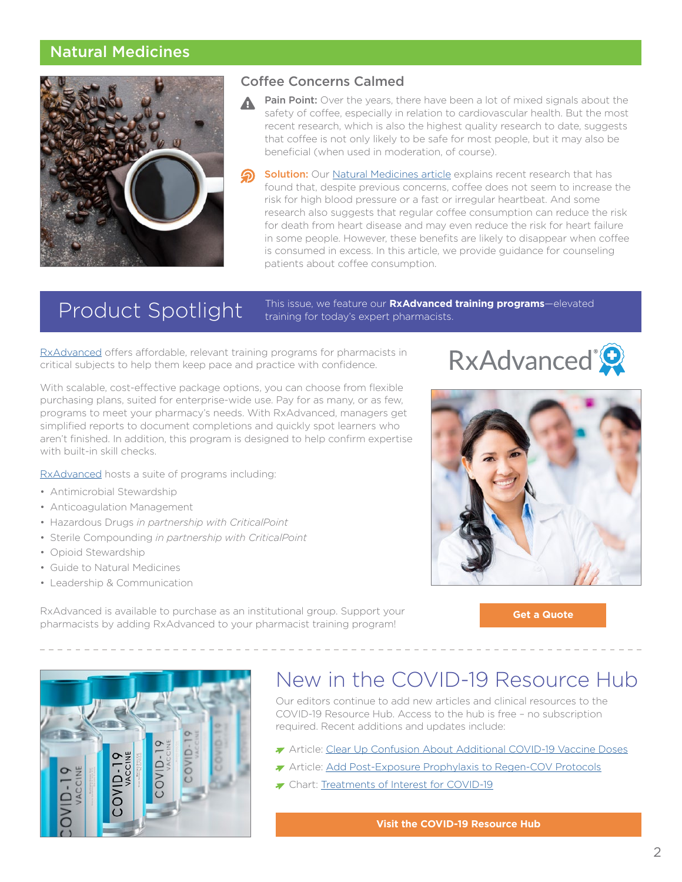### <span id="page-1-0"></span>Natural Medicines



### Coffee Concerns Calmed

- Pain Point: Over the years, there have been a lot of mixed signals about the safety of coffee, especially in relation to cardiovascular health. But the most recent research, which is also the highest quality research to date, suggests that coffee is not only likely to be safe for most people, but it may also be beneficial (when used in moderation, of course).
- **Solution:** Our [Natural Medicines article](https://naturalmedicines.therapeuticresearch.com/news/news-items/2021/september/coffee-concerns-calmed.aspx?utm_source=hubspot&utm_medium=email&utm_campaign=september2021insightsnewsletter) explains recent research that has found that, despite previous concerns, coffee does not seem to increase the risk for high blood pressure or a fast or irregular heartbeat. And some research also suggests that regular coffee consumption can reduce the risk for death from heart disease and may even reduce the risk for heart failure in some people. However, these benefits are likely to disappear when coffee is consumed in excess. In this article, we provide guidance for counseling patients about coffee consumption.

Product Spotlight This issue, we feature our **RxAdvanced training programs**—elevated training for today's expert pharmacists.

[RxAdvanced](https://trchealthcare.com/about-us/products/rxadvanced/?utm_source=hubspot&utm_medium=email&utm_campaign=september2021insightsnewsletter) offers affordable, relevant training programs for pharmacists in critical subjects to help them keep pace and practice with confidence.

With scalable, cost-effective package options, you can choose from flexible purchasing plans, suited for enterprise-wide use. Pay for as many, or as few, programs to meet your pharmacy's needs. With RxAdvanced, managers get simplified reports to document completions and quickly spot learners who aren't finished. In addition, this program is designed to help confirm expertise with built-in skill checks.

[RxAdvanced](https://trchealthcare.com/about-us/products/rxadvanced/?utm_source=hubspot&utm_medium=email&utm_campaign=september2021insightsnewsletter) hosts a suite of programs including:

- Antimicrobial Stewardship
- Anticoagulation Management
- Hazardous Drugs *in partnership with CriticalPoint*
- Sterile Compounding *in partnership with CriticalPoint*
- Opioid Stewardship
- Guide to Natural Medicines
- Leadership & Communication

RxAdvanced is available to purchase as an institutional group. Support your pharmacists by adding RxAdvanced to your pharmacist training program!





**[Get a Quote](https://info.therapeuticresearch.com/enterprise-quote-request-page?__hstc=148641960.a2734cdd3883755394409e16abb7ce72.1621380914368.1629227407170.1629230859349.11&__hssc=148641960.3.1629230859349&__hsfp=2285334546&_ga=2.16054582.1074578095.1629218376-1972443842.1621380905&utm_source=Corporate+Site&utm_medium=Website&utm_campaign=Enterprise+Request+a+Quote)**



# New in the COVID-19 Resource Hub

Our editors continue to add new articles and clinical resources to the COVID-19 Resource Hub. Access to the hub is free – no subscription required. Recent additions and updates include:

- Article: [Clear Up Confusion About Additional COVID-19 Vaccine Doses](https://pharmacist.therapeuticresearch.com/Content/Segments/PRL/2021/Aug/Clear-Up-Confusion-About-Additional-COVID-19-Vaccine-Doses-S2108008?utm_source=hubspot&utm_medium=email&utm_campaign=september2021insightsnewsletter)
- Article: [Add Post-Exposure Prophylaxis to Regen-COV Protocols](https://pharmacist.therapeuticresearch.com/Content/Articles/PLH/2021/Sep/Add-Post-Exposure-Prophylaxis-to-Regen-COV-Protocols?utm_source=hubspot&utm_medium=email&utm_campaign=september2021insightsnewsletter)
- The Chart: [Treatments of Interest for COVID-19](https://pharmacist.therapeuticresearch.com/Content/Segments/PRL/2020/Apr/Treatments-of-Interest-for-COVID-19-S2004008?utm_source=hubspot&utm_medium=email&utm_campaign=september2021insightsnewsletter)

**[Visit the COVID-19 Resource Hub](https://pharmacist.therapeuticresearch.com/Content/Topic/all/covid-19-Resource-Hub?utm_source=hubspot&utm_medium=email&utm_campaign=september2021insightsnewsletter)**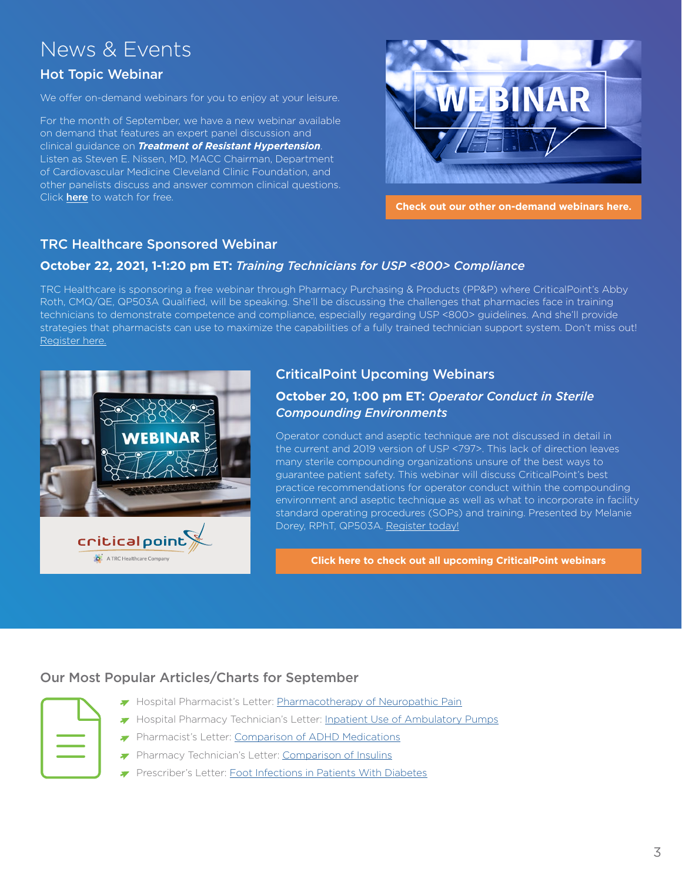# <span id="page-2-0"></span>News & Events

### Hot Topic Webinar

We offer on-demand webinars for you to enjoy at your leisure.

For the month of September, we have a new webinar available on demand that features an expert panel discussion and clinical guidance on *Treatment of Resistant Hypertension*. Listen as Steven E. Nissen, MD, MACC Chairman, Department of Cardiovascular Medicine Cleveland Clinic Foundation, and other panelists discuss and answer common clinical questions. Click **[here](https://trchealthcare.com/treatment-resistant-hypertension/?utm_source=hubspot&utm_medium=email&utm_campaign=september2021insightsnewsletter)** to watch for free.



**[Check out our other on-demand webinars here.](https://trchealthcare.com/about-us/news-and-resources/webinars?utm_source=hubspot&utm_medium=email&utm_campaign=september2021insightsnewsletter)**

### TRC Healthcare Sponsored Webinar

### **October 22, 2021, 1-1:20 pm ET:** *Training Technicians for USP <800> Compliance*

TRC Healthcare is sponsoring a free webinar through Pharmacy Purchasing & Products (PP&P) where CriticalPoint's Abby Roth, CMQ/QE, QP503A Qualified, will be speaking. She'll be discussing the challenges that pharmacies face in training technicians to demonstrate competence and compliance, especially regarding USP <800> guidelines. And she'll provide strategies that pharmacists can use to maximize the capabilities of a fully trained technician support system. Don't miss out! [Register here](https://www.pppmag.com/webinars/info.php?id=37&source=ttp37e1).



### CriticalPoint Upcoming Webinars

### **October 20, 1:00 pm ET:** *Operator Conduct in Sterile Compounding Environments*

Operator conduct and aseptic technique are not discussed in detail in the current and 2019 version of USP <797>. This lack of direction leaves many sterile compounding organizations unsure of the best ways to guarantee patient safety. This webinar will discuss CriticalPoint's best practice recommendations for operator conduct within the compounding environment and aseptic technique as well as what to incorporate in facility standard operating procedures (SOPs) and training. Presented by Melanie Dorey, RPhT, QP503A. [Register](https://www.criticalpoint.info/activity/webinar-operator-conduct-in-sterile-compounding-environments/) today!

**[Click here to check out all upcoming CriticalPoint webinars](https://www.criticalpoint.info/activities/?filter-activity-type=1439)**

### Our Most Popular Articles/Charts for September

| <b>Contract Contract Contract Contract Contract Contract Contract Contract Contract Contract Contract Contract Co</b>                                  |  |
|--------------------------------------------------------------------------------------------------------------------------------------------------------|--|
|                                                                                                                                                        |  |
| $\mathcal{L}(\mathcal{L})$ and $\mathcal{L}(\mathcal{L})$ and $\mathcal{L}(\mathcal{L})$ and $\mathcal{L}(\mathcal{L})$ and $\mathcal{L}(\mathcal{L})$ |  |

- Hospital Pharmacist's Letter: [Pharmacotherapy of Neuropathic Pain](https://hospital-pharmacist.therapeuticresearch.com/Content/Segments/PRL/2015/Nov/Pharmacotherapy-of-Neuropathic-Pain-9101?utm_source=hubspot&utm_medium=email&utm_campaign=september2021insightsnewsletter)
- Hospital Pharmacy Technician's Letter: [Inpatient Use of Ambulatory Pumps](https://hospital-pharmacytech.therapeuticresearch.com/Content/Segments/PRL/2021/Sep/Inpatient-Use-of-Ambulatory-Pumps-S2109005?utm_source=hubspot&utm_medium=email&utm_campaign=september2021insightsnewsletter)
- Pharmacist's Letter: [Comparison of ADHD Medications](https://pharmacist.therapeuticresearch.com/Content/Segments/PRL/2016/Mar/Comparison-of-ADHD-Medications-9475?utm_source=hubspot&utm_medium=email&utm_campaign=september2021insightsnewsletter)
- Pharmacy Technician's Letter: [Comparison of Insulins](https://pharmacytech.therapeuticresearch.com/Content/Segments/PRL/2015/Mar/Comparison-of-Insulins-8205?utm_source=hubspot&utm_medium=email&utm_campaign=september2021insightsnewsletter)
- Prescriber's Letter: [Foot Infections in Patients With Diabetes](https://prescriber.therapeuticresearch.com/Content/Segments/PRL/2016/May/Foot-Infections-in-Patients-With-Diabetes-9678?utm_source=hubspot&utm_medium=email&utm_campaign=september2021insightsnewsletter)